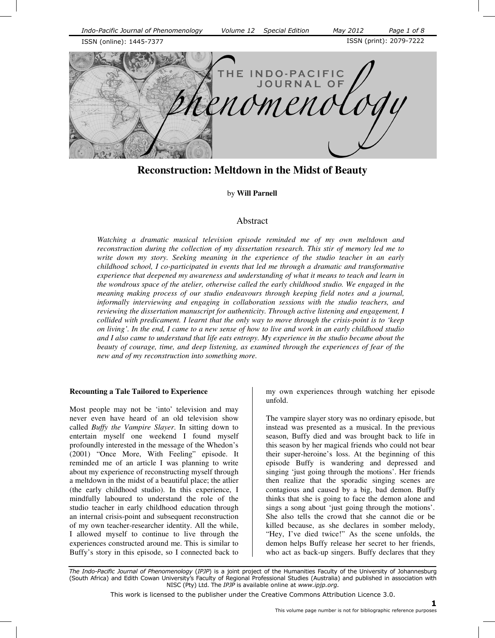

# **Reconstruction: Meltdown in the Midst of Beauty**

by **Will Parnell** 

## Abstract

*Watching a dramatic musical television episode reminded me of my own meltdown and reconstruction during the collection of my dissertation research. This stir of memory led me to write down my story. Seeking meaning in the experience of the studio teacher in an early childhood school, I co-participated in events that led me through a dramatic and transformative experience that deepened my awareness and understanding of what it means to teach and learn in the wondrous space of the atelier, otherwise called the early childhood studio. We engaged in the meaning making process of our studio endeavours through keeping field notes and a journal, informally interviewing and engaging in collaboration sessions with the studio teachers, and reviewing the dissertation manuscript for authenticity. Through active listening and engagement, I collided with predicament. I learnt that the only way to move through the crisis-point is to 'keep on living'. In the end, I came to a new sense of how to live and work in an early childhood studio and I also came to understand that life eats entropy. My experience in the studio became about the beauty of courage, time, and deep listening, as examined through the experiences of fear of the new and of my reconstruction into something more.* 

## **Recounting a Tale Tailored to Experience**

Most people may not be 'into' television and may never even have heard of an old television show called *Buffy the Vampire Slayer*. In sitting down to entertain myself one weekend I found myself profoundly interested in the message of the Whedon's (2001) "Once More, With Feeling" episode. It reminded me of an article I was planning to write about my experience of reconstructing myself through a meltdown in the midst of a beautiful place; the atlier (the early childhood studio). In this experience, I mindfully laboured to understand the role of the studio teacher in early childhood education through an internal crisis-point and subsequent reconstruction of my own teacher-researcher identity. All the while, I allowed myself to continue to live through the experiences constructed around me. This is similar to Buffy's story in this episode, so I connected back to my own experiences through watching her episode unfold.

The vampire slayer story was no ordinary episode, but instead was presented as a musical. In the previous season, Buffy died and was brought back to life in this season by her magical friends who could not bear their super-heroine's loss. At the beginning of this episode Buffy is wandering and depressed and singing 'just going through the motions'. Her friends then realize that the sporadic singing scenes are contagious and caused by a big, bad demon. Buffy thinks that she is going to face the demon alone and sings a song about 'just going through the motions'. She also tells the crowd that she cannot die or be killed because, as she declares in somber melody, "Hey, I've died twice!" As the scene unfolds, the demon helps Buffy release her secret to her friends, who act as back-up singers. Buffy declares that they

(South Africa) and Edith Cowan University's Faculty of Regional Professional Studies (Australia) and published in association with NISC (Pty) Ltd. The *IPJP* is available online at *www.ipjp.org.* The Indo-Pacific Journal of Phenomenology (IPJP) is a joint project of the Humanities Faculty of the University of Johannesburg

This work is licensed to the publisher under the Creative Commons Attribution Licence 3.0.<br>-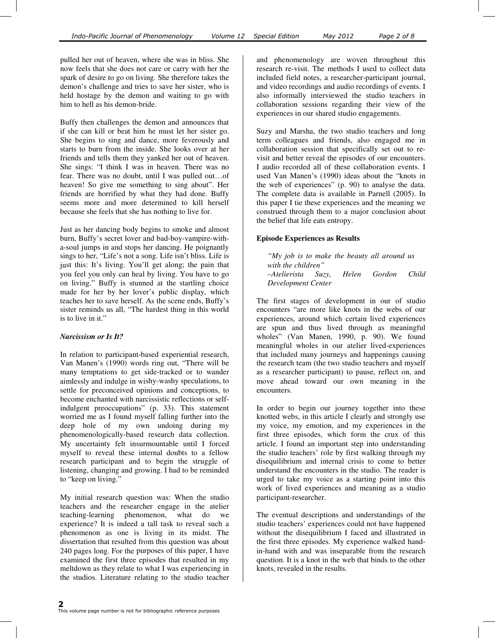pulled her out of heaven, where she was in bliss. She now feels that she does not care or carry with her the spark of desire to go on living. She therefore takes the demon's challenge and tries to save her sister, who is held hostage by the demon and waiting to go with him to hell as his demon-bride.

Buffy then challenges the demon and announces that if she can kill or beat him he must let her sister go. She begins to sing and dance, more feverously and starts to burn from the inside. She looks over at her friends and tells them they yanked her out of heaven. She sings: "I think I was in heaven. There was no fear. There was no doubt, until I was pulled out…of heaven! So give me something to sing about". Her friends are horrified by what they had done. Buffy seems more and more determined to kill herself because she feels that she has nothing to live for.

Just as her dancing body begins to smoke and almost burn, Buffy's secret lover and bad-boy-vampire-witha-soul jumps in and stops her dancing. He poignantly sings to her, "Life's not a song. Life isn't bliss. Life is just this: It's living. You'll get along; the pain that you feel you only can heal by living. You have to go on living." Buffy is stunned at the startling choice made for her by her lover's public display, which teaches her to save herself. As the scene ends, Buffy's sister reminds us all, "The hardest thing in this world is to live in it."

## *Narcissism or Is It?*

In relation to participant-based experiential research, Van Manen's (1990) words ring out, "There will be many temptations to get side-tracked or to wander aimlessly and indulge in wishy-washy speculations, to settle for preconceived opinions and conceptions, to become enchanted with narcissistic reflections or selfindulgent preoccupations" (p. 33). This statement worried me as I found myself falling further into the deep hole of my own undoing during my phenomenologically-based research data collection. My uncertainty felt insurmountable until I forced myself to reveal these internal doubts to a fellow research participant and to begin the struggle of listening, changing and growing. I had to be reminded to "keep on living."

My initial research question was: When the studio teachers and the researcher engage in the atelier teaching-learning phenomenon, what do we experience? It is indeed a tall task to reveal such a phenomenon as one is living in its midst. The dissertation that resulted from this question was about 240 pages long. For the purposes of this paper, I have examined the first three episodes that resulted in my meltdown as they relate to what I was experiencing in the studios. Literature relating to the studio teacher

and phenomenology are woven throughout this research re-visit. The methods I used to collect data included field notes, a researcher-participant journal, and video recordings and audio recordings of events. I also informally interviewed the studio teachers in collaboration sessions regarding their view of the experiences in our shared studio engagements.

Suzy and Marsha, the two studio teachers and long term colleagues and friends, also engaged me in collaboration session that specifically set out to revisit and better reveal the episodes of our encounters. I audio recorded all of these collaboration events. I used Van Manen's (1990) ideas about the "knots in the web of experiences" (p. 90) to analyse the data. The complete data is available in Parnell (2005). In this paper I tie these experiences and the meaning we construed through them to a major conclusion about the belief that life eats entropy.

#### **Episode Experiences as Results**

*"My job is to make the beauty all around us with the children" –Atelierista Suzy, Helen Gordon Child Development Center*

The first stages of development in our of studio encounters "are more like knots in the webs of our experiences, around which certain lived experiences are spun and thus lived through as meaningful wholes" (Van Manen, 1990, p. 90). We found meaningful wholes in our atelier lived-experiences that included many journeys and happenings causing the research team (the two studio teachers and myself as a researcher participant) to pause, reflect on, and move ahead toward our own meaning in the encounters.

In order to begin our journey together into these knotted webs, in this article I clearly and strongly use my voice, my emotion, and my experiences in the first three episodes, which form the crux of this article. I found an important step into understanding the studio teachers' role by first walking through my disequilibrium and internal crisis to come to better understand the encounters in the studio. The reader is urged to take my voice as a starting point into this work of lived experiences and meaning as a studio participant-researcher.

The eventual descriptions and understandings of the studio teachers' experiences could not have happened without the disequilibrium I faced and illustrated in the first three episodes. My experience walked handin-hand with and was inseparable from the research question. It is a knot in the web that binds to the other knots, revealed in the results.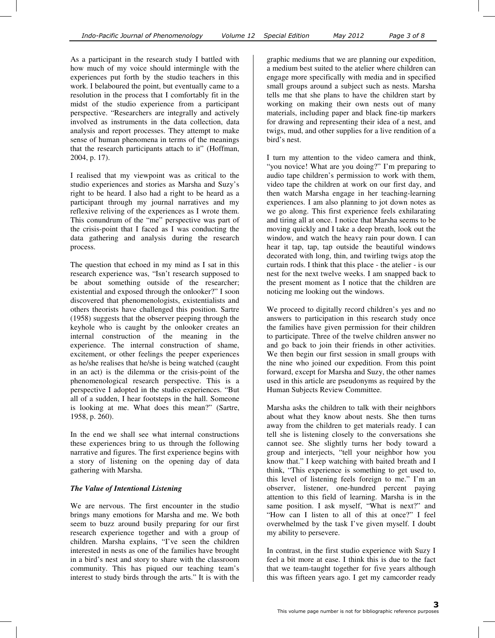As a participant in the research study I battled with how much of my voice should intermingle with the experiences put forth by the studio teachers in this work. I belaboured the point, but eventually came to a resolution in the process that I comfortably fit in the midst of the studio experience from a participant perspective. "Researchers are integrally and actively involved as instruments in the data collection, data analysis and report processes. They attempt to make sense of human phenomena in terms of the meanings that the research participants attach to it" (Hoffman, 2004, p. 17).

I realised that my viewpoint was as critical to the studio experiences and stories as Marsha and Suzy's right to be heard. I also had a right to be heard as a participant through my journal narratives and my reflexive reliving of the experiences as I wrote them. This conundrum of the "me" perspective was part of the crisis-point that I faced as I was conducting the data gathering and analysis during the research process.

The question that echoed in my mind as I sat in this research experience was, "Isn't research supposed to be about something outside of the researcher; existential and exposed through the onlooker?" I soon discovered that phenomenologists, existentialists and others theorists have challenged this position. Sartre (1958) suggests that the observer peeping through the keyhole who is caught by the onlooker creates an internal construction of the meaning in the experience. The internal construction of shame, excitement, or other feelings the peeper experiences as he/she realises that he/she is being watched (caught in an act) is the dilemma or the crisis-point of the phenomenological research perspective. This is a perspective I adopted in the studio experiences. "But all of a sudden, I hear footsteps in the hall. Someone is looking at me. What does this mean?" (Sartre, 1958, p. 260).

In the end we shall see what internal constructions these experiences bring to us through the following narrative and figures. The first experience begins with a story of listening on the opening day of data gathering with Marsha.

#### *The Value of Intentional Listening*

We are nervous. The first encounter in the studio brings many emotions for Marsha and me. We both seem to buzz around busily preparing for our first research experience together and with a group of children. Marsha explains, "I've seen the children interested in nests as one of the families have brought in a bird's nest and story to share with the classroom community. This has piqued our teaching team's interest to study birds through the arts." It is with the

graphic mediums that we are planning our expedition, a medium best suited to the atelier where children can engage more specifically with media and in specified small groups around a subject such as nests. Marsha tells me that she plans to have the children start by working on making their own nests out of many materials, including paper and black fine-tip markers for drawing and representing their idea of a nest, and twigs, mud, and other supplies for a live rendition of a bird's nest.

I turn my attention to the video camera and think, "you novice! What are you doing?" I'm preparing to audio tape children's permission to work with them, video tape the children at work on our first day, and then watch Marsha engage in her teaching-learning experiences. I am also planning to jot down notes as we go along. This first experience feels exhilarating and tiring all at once. I notice that Marsha seems to be moving quickly and I take a deep breath, look out the window, and watch the heavy rain pour down. I can hear it tap, tap, tap outside the beautiful windows decorated with long, thin, and twirling twigs atop the curtain rods. I think that this place - the atelier - is our nest for the next twelve weeks. I am snapped back to the present moment as I notice that the children are noticing me looking out the windows.

We proceed to digitally record children's yes and no answers to participation in this research study once the families have given permission for their children to participate. Three of the twelve children answer no and go back to join their friends in other activities. We then begin our first session in small groups with the nine who joined our expedition. From this point forward, except for Marsha and Suzy, the other names used in this article are pseudonyms as required by the Human Subjects Review Committee.

Marsha asks the children to talk with their neighbors about what they know about nests. She then turns away from the children to get materials ready. I can tell she is listening closely to the conversations she cannot see. She slightly turns her body toward a group and interjects, "tell your neighbor how you know that." I keep watching with baited breath and I think, "This experience is something to get used to, this level of listening feels foreign to me." I'm an observer, listener, one-hundred percent paying attention to this field of learning. Marsha is in the same position. I ask myself, "What is next?" and "How can I listen to all of this at once?" I feel overwhelmed by the task I've given myself. I doubt my ability to persevere.

In contrast, in the first studio experience with Suzy I feel a bit more at ease. I think this is due to the fact that we team-taught together for five years although this was fifteen years ago. I get my camcorder ready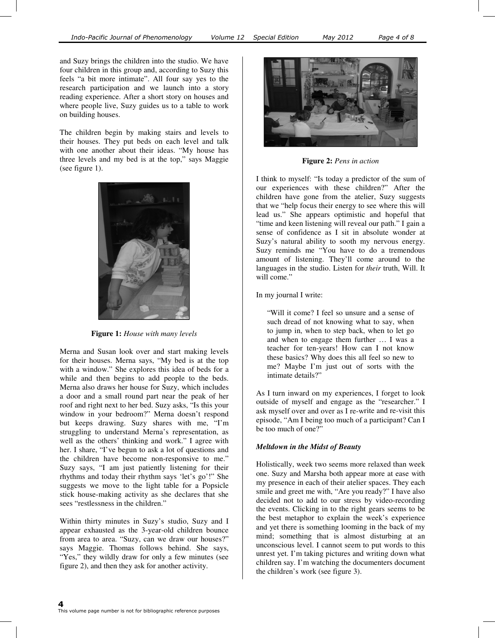and Suzy brings the children into the studio. We have four children in this group and, according to Suzy this feels "a bit more intimate". All four say yes to the research participation and we launch into a story reading experience. After a short story on houses and where people live, Suzy guides us to a table to work on building houses.

The children begin by making stairs and levels to their houses. They put beds on each level and talk with one another about their ideas. "My house has three levels and my bed is at the top," says Maggie (see figure 1).



**Figure 1:** *House with many levels* 

Merna and Susan look over and start making levels for their houses. Merna says, "My bed is at the top with a window." She explores this idea of beds for a while and then begins to add people to the beds. Merna also draws her house for Suzy, which includes a door and a small round part near the peak of her roof and right next to her bed. Suzy asks, "Is this your window in your bedroom?" Merna doesn't respond but keeps drawing. Suzy shares with me, "I'm struggling to understand Merna's representation, as well as the others' thinking and work." I agree with her. I share, "I've begun to ask a lot of questions and the children have become non-responsive to me." Suzy says, "I am just patiently listening for their rhythms and today their rhythm says 'let's go'!" She suggests we move to the light table for a Popsicle stick house-making activity as she declares that she sees "restlessness in the children."

Within thirty minutes in Suzy's studio, Suzy and I appear exhausted as the 3-year-old children bounce from area to area. "Suzy, can we draw our houses?" says Maggie. Thomas follows behind. She says, "Yes," they wildly draw for only a few minutes (see figure 2), and then they ask for another activity.



**Figure 2:** *Pens in action*

I think to myself: "Is today a predictor of the sum of our experiences with these children?" After the children have gone from the atelier, Suzy suggests that we "help focus their energy to see where this will lead us." She appears optimistic and hopeful that "time and keen listening will reveal our path." I gain a sense of confidence as I sit in absolute wonder at Suzy's natural ability to sooth my nervous energy. Suzy reminds me "You have to do a tremendous amount of listening. They'll come around to the languages in the studio. Listen for *their* truth, Will. It will come."

In my journal I write:

"Will it come? I feel so unsure and a sense of such dread of not knowing what to say, when to jump in, when to step back, when to let go and when to engage them further … I was a teacher for ten-years! How can I not know these basics? Why does this all feel so new to me? Maybe I'm just out of sorts with the intimate details?"

As I turn inward on my experiences, I forget to look outside of myself and engage as the "researcher." I ask myself over and over as I re-write and re-visit this episode, "Am I being too much of a participant? Can I be too much of one?"

## *Meltdown in the Midst of Beauty*

Holistically, week two seems more relaxed than week one. Suzy and Marsha both appear more at ease with my presence in each of their atelier spaces. They each smile and greet me with, "Are you ready?" I have also decided not to add to our stress by video-recording the events. Clicking in to the right gears seems to be the best metaphor to explain the week's experience and yet there is something looming in the back of my mind; something that is almost disturbing at an unconscious level. I cannot seem to put words to this unrest yet. I'm taking pictures and writing down what children say. I'm watching the documenters document the children's work (see figure 3).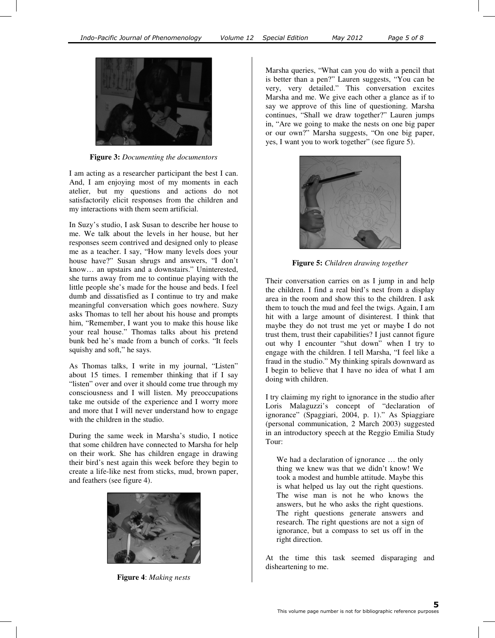

**Figure 3:** *Documenting the documentors* 

I am acting as a researcher participant the best I can. And, I am enjoying most of my moments in each atelier, but my questions and actions do not satisfactorily elicit responses from the children and my interactions with them seem artificial.

In Suzy's studio, I ask Susan to describe her house to me. We talk about the levels in her house, but her responses seem contrived and designed only to please me as a teacher. I say, "How many levels does your house have?" Susan shrugs and answers, "I don't know… an upstairs and a downstairs." Uninterested, she turns away from me to continue playing with the little people she's made for the house and beds. I feel dumb and dissatisfied as I continue to try and make meaningful conversation which goes nowhere. Suzy asks Thomas to tell her about his house and prompts him, "Remember, I want you to make this house like your real house." Thomas talks about his pretend bunk bed he's made from a bunch of corks. "It feels squishy and soft," he says.

As Thomas talks, I write in my journal, "Listen" about 15 times. I remember thinking that if I say "listen" over and over it should come true through my consciousness and I will listen. My preoccupations take me outside of the experience and I worry more and more that I will never understand how to engage with the children in the studio.

During the same week in Marsha's studio, I notice that some children have connected to Marsha for help on their work. She has children engage in drawing their bird's nest again this week before they begin to create a life-like nest from sticks, mud, brown paper, and feathers (see figure 4).



**Figure 4**: *Making nests* 

Marsha queries, "What can you do with a pencil that is better than a pen?" Lauren suggests, "You can be very, very detailed." This conversation excites Marsha and me. We give each other a glance as if to say we approve of this line of questioning. Marsha continues, "Shall we draw together?" Lauren jumps in, "Are we going to make the nests on one big paper or our own?" Marsha suggests, "On one big paper, yes, I want you to work together" (see figure 5).



**Figure 5:** *Children drawing together*

Their conversation carries on as I jump in and help the children. I find a real bird's nest from a display area in the room and show this to the children. I ask them to touch the mud and feel the twigs. Again, I am hit with a large amount of disinterest. I think that maybe they do not trust me yet or maybe I do not trust them, trust their capabilities? I just cannot figure out why I encounter "shut down" when I try to engage with the children. I tell Marsha, "I feel like a fraud in the studio." My thinking spirals downward as I begin to believe that I have no idea of what I am doing with children.

I try claiming my right to ignorance in the studio after Loris Malaguzzi's concept of "declaration of ignorance" (Spaggiari, 2004, p. 1)." As Spiaggiare (personal communication, 2 March 2003) suggested in an introductory speech at the Reggio Emilia Study Tour:

We had a declaration of ignorance ... the only thing we knew was that we didn't know! We took a modest and humble attitude. Maybe this is what helped us lay out the right questions. The wise man is not he who knows the answers, but he who asks the right questions. The right questions generate answers and research. The right questions are not a sign of ignorance, but a compass to set us off in the right direction.

At the time this task seemed disparaging and disheartening to me.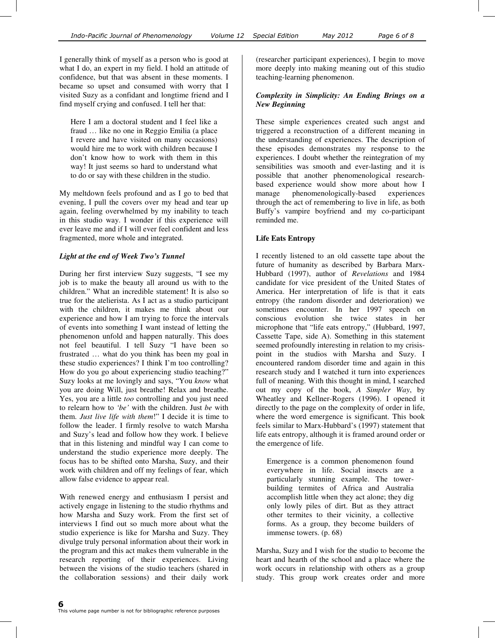I generally think of myself as a person who is good at what I do, an expert in my field. I hold an attitude of confidence, but that was absent in these moments. I became so upset and consumed with worry that I visited Suzy as a confidant and longtime friend and I find myself crying and confused. I tell her that:

Here I am a doctoral student and I feel like a fraud … like no one in Reggio Emilia (a place I revere and have visited on many occasions) would hire me to work with children because I don't know how to work with them in this way! It just seems so hard to understand what to do or say with these children in the studio.

My meltdown feels profound and as I go to bed that evening, I pull the covers over my head and tear up again, feeling overwhelmed by my inability to teach in this studio way. I wonder if this experience will ever leave me and if I will ever feel confident and less fragmented, more whole and integrated.

#### *Light at the end of Week Two's Tunnel*

During her first interview Suzy suggests, "I see my job is to make the beauty all around us with to the children." What an incredible statement! It is also so true for the atelierista. As I act as a studio participant with the children, it makes me think about our experience and how I am trying to force the intervals of events into something I want instead of letting the phenomenon unfold and happen naturally. This does not feel beautiful. I tell Suzy "I have been so frustrated … what do you think has been my goal in these studio experiences? I think I'm too controlling? How do you go about experiencing studio teaching?" Suzy looks at me lovingly and says, "You *know* what you are doing Will, just breathe! Relax and breathe. Yes, you are a little *too* controlling and you just need to relearn how to *'be'* with the children. Just *be* with them. *Just live life with them*!" I decide it is time to follow the leader. I firmly resolve to watch Marsha and Suzy's lead and follow how they work. I believe that in this listening and mindful way I can come to understand the studio experience more deeply. The focus has to be shifted onto Marsha, Suzy, and their work with children and off my feelings of fear, which allow false evidence to appear real.

With renewed energy and enthusiasm I persist and actively engage in listening to the studio rhythms and how Marsha and Suzy work. From the first set of interviews I find out so much more about what the studio experience is like for Marsha and Suzy. They divulge truly personal information about their work in the program and this act makes them vulnerable in the research reporting of their experiences. Living between the visions of the studio teachers (shared in the collaboration sessions) and their daily work (researcher participant experiences), I begin to move more deeply into making meaning out of this studio teaching-learning phenomenon.

## *Complexity in Simplicity: An Ending Brings on a New Beginning*

These simple experiences created such angst and triggered a reconstruction of a different meaning in the understanding of experiences. The description of these episodes demonstrates my response to the experiences. I doubt whether the reintegration of my sensibilities was smooth and ever-lasting and it is possible that another phenomenological researchbased experience would show more about how I manage phenomenologically-based experiences through the act of remembering to live in life, as both Buffy's vampire boyfriend and my co-participant reminded me.

## **Life Eats Entropy**

I recently listened to an old cassette tape about the future of humanity as described by Barbara Marx-Hubbard (1997), author of *Revelations* and 1984 candidate for vice president of the United States of America. Her interpretation of life is that it eats entropy (the random disorder and deterioration) we sometimes encounter. In her 1997 speech on conscious evolution she twice states in her microphone that "life eats entropy," (Hubbard, 1997, Cassette Tape, side A). Something in this statement seemed profoundly interesting in relation to my crisispoint in the studios with Marsha and Suzy. I encountered random disorder time and again in this research study and I watched it turn into experiences full of meaning. With this thought in mind, I searched out my copy of the book, *A Simpler Way*, by Wheatley and Kellner-Rogers (1996). I opened it directly to the page on the complexity of order in life, where the word emergence is significant. This book feels similar to Marx-Hubbard's (1997) statement that life eats entropy, although it is framed around order or the emergence of life.

Emergence is a common phenomenon found everywhere in life. Social insects are a particularly stunning example. The towerbuilding termites of Africa and Australia accomplish little when they act alone; they dig only lowly piles of dirt. But as they attract other termites to their vicinity, a collective forms. As a group, they become builders of immense towers. (p. 68)

Marsha, Suzy and I wish for the studio to become the heart and hearth of the school and a place where the work occurs in relationship with others as a group study. This group work creates order and more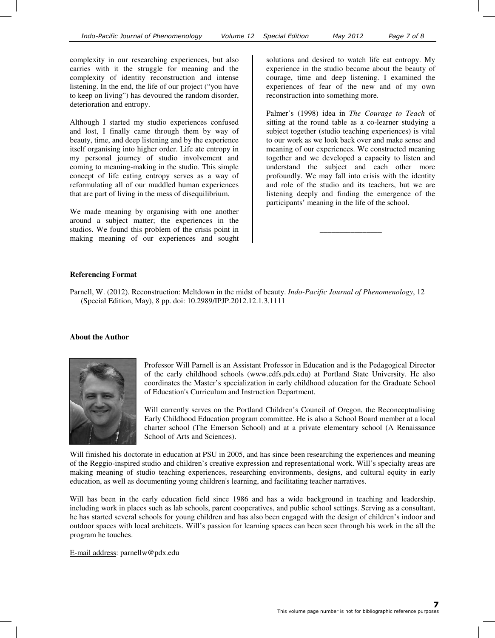complexity in our researching experiences, but also carries with it the struggle for meaning and the complexity of identity reconstruction and intense listening. In the end, the life of our project ("you have to keep on living") has devoured the random disorder, deterioration and entropy.

Although I started my studio experiences confused and lost, I finally came through them by way of beauty, time, and deep listening and by the experience itself organising into higher order. Life ate entropy in my personal journey of studio involvement and coming to meaning-making in the studio. This simple concept of life eating entropy serves as a way of reformulating all of our muddled human experiences that are part of living in the mess of disequilibrium.

We made meaning by organising with one another around a subject matter; the experiences in the studios. We found this problem of the crisis point in making meaning of our experiences and sought

solutions and desired to watch life eat entropy. My experience in the studio became about the beauty of courage, time and deep listening. I examined the experiences of fear of the new and of my own reconstruction into something more.

Palmer's (1998) idea in *The Courage to Teach* of sitting at the round table as a co-learner studying a subject together (studio teaching experiences) is vital to our work as we look back over and make sense and meaning of our experiences. We constructed meaning together and we developed a capacity to listen and understand the subject and each other more profoundly. We may fall into crisis with the identity and role of the studio and its teachers, but we are listening deeply and finding the emergence of the participants' meaning in the life of the school.

\_\_\_\_\_\_\_\_\_\_\_\_\_\_\_\_

#### **Referencing Format**

Parnell, W. (2012). Reconstruction: Meltdown in the midst of beauty. *Indo-Pacific Journal of Phenomenology*, 12 (Special Edition, May), 8 pp. doi: 10.2989/IPJP.2012.12.1.3.1111

#### **About the Author**



Professor Will Parnell is an Assistant Professor in Education and is the Pedagogical Director of the early childhood schools (www.cdfs.pdx.edu) at Portland State University. He also coordinates the Master's specialization in early childhood education for the Graduate School of Education's Curriculum and Instruction Department.

Will currently serves on the Portland Children's Council of Oregon, the Reconceptualising Early Childhood Education program committee. He is also a School Board member at a local charter school (The Emerson School) and at a private elementary school (A Renaissance School of Arts and Sciences).

Will finished his doctorate in education at PSU in 2005, and has since been researching the experiences and meaning of the Reggio-inspired studio and children's creative expression and representational work. Will's specialty areas are making meaning of studio teaching experiences, researching environments, designs, and cultural equity in early education, as well as documenting young children's learning, and facilitating teacher narratives.

Will has been in the early education field since 1986 and has a wide background in teaching and leadership, including work in places such as lab schools, parent cooperatives, and public school settings. Serving as a consultant, he has started several schools for young children and has also been engaged with the design of children's indoor and outdoor spaces with local architects. Will's passion for learning spaces can been seen through his work in the all the program he touches.

E-mail address: parnellw@pdx.edu